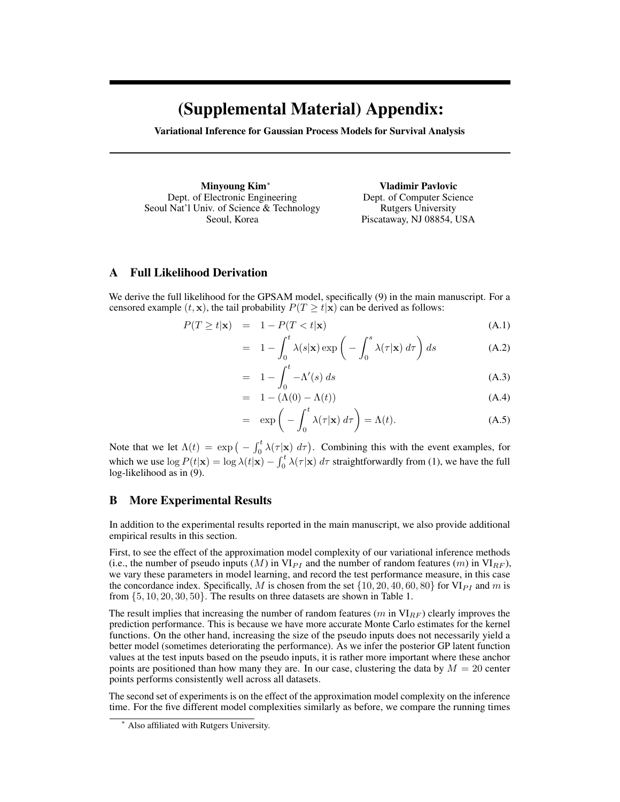## (Supplemental Material) Appendix:

Variational Inference for Gaussian Process Models for Survival Analysis

Minyoung Kim<sup>∗</sup> Dept. of Electronic Engineering Seoul Nat'l Univ. of Science & Technology Seoul, Korea

Vladimir Pavlovic Dept. of Computer Science Rutgers University Piscataway, NJ 08854, USA

## A Full Likelihood Derivation

We derive the full likelihood for the GPSAM model, specifically (9) in the main manuscript. For a censored example  $(t, \mathbf{x})$ , the tail probability  $P(T \geq t | \mathbf{x})$  can be derived as follows:

$$
P(T \ge t | \mathbf{x}) = 1 - P(T < t | \mathbf{x}) \tag{A.1}
$$

$$
= 1 - \int_0^t \lambda(s|\mathbf{x}) \exp\left(-\int_0^s \lambda(\tau|\mathbf{x}) d\tau\right) ds \tag{A.2}
$$

$$
= 1 - \int_0^t -\Lambda'(s) \, ds \tag{A.3}
$$

$$
= 1 - (\Lambda(0) - \Lambda(t))
$$
\n
$$
\begin{pmatrix} t & t & t \\ t & t & t \end{pmatrix} (A.4)
$$
\n
$$
(A.5)
$$

$$
= \exp\left(-\int_0^t \lambda(\tau|\mathbf{x}) d\tau\right) = \Lambda(t). \tag{A.5}
$$

Note that we let  $\Lambda(t) = \exp(-\int_0^t \lambda(\tau|\mathbf{x}) d\tau)$ . Combining this with the event examples, for which we use  $\log P(t|\mathbf{x}) = \log \lambda(t|\mathbf{x}) - \int_0^t \lambda(\tau|\mathbf{x}) d\tau$  straightforwardly from (1), we have the full log-likelihood as in (9).

## B More Experimental Results

In addition to the experimental results reported in the main manuscript, we also provide additional empirical results in this section.

First, to see the effect of the approximation model complexity of our variational inference methods (i.e., the number of pseudo inputs  $(M)$  in  $VI_{PI}$  and the number of random features  $(m)$  in  $VI_{RF}$ ), we vary these parameters in model learning, and record the test performance measure, in this case the concordance index. Specifically, M is chosen from the set  $\{10, 20, 40, 60, 80\}$  for VI<sub>PI</sub> and m is from  $\{5, 10, 20, 30, 50\}$ . The results on three datasets are shown in Table 1.

The result implies that increasing the number of random features  $(m \text{ in } VI_{RF})$  clearly improves the prediction performance. This is because we have more accurate Monte Carlo estimates for the kernel functions. On the other hand, increasing the size of the pseudo inputs does not necessarily yield a better model (sometimes deteriorating the performance). As we infer the posterior GP latent function values at the test inputs based on the pseudo inputs, it is rather more important where these anchor points are positioned than how many they are. In our case, clustering the data by  $M = 20$  center points performs consistently well across all datasets.

The second set of experiments is on the effect of the approximation model complexity on the inference time. For the five different model complexities similarly as before, we compare the running times

<sup>∗</sup> Also affiliated with Rutgers University.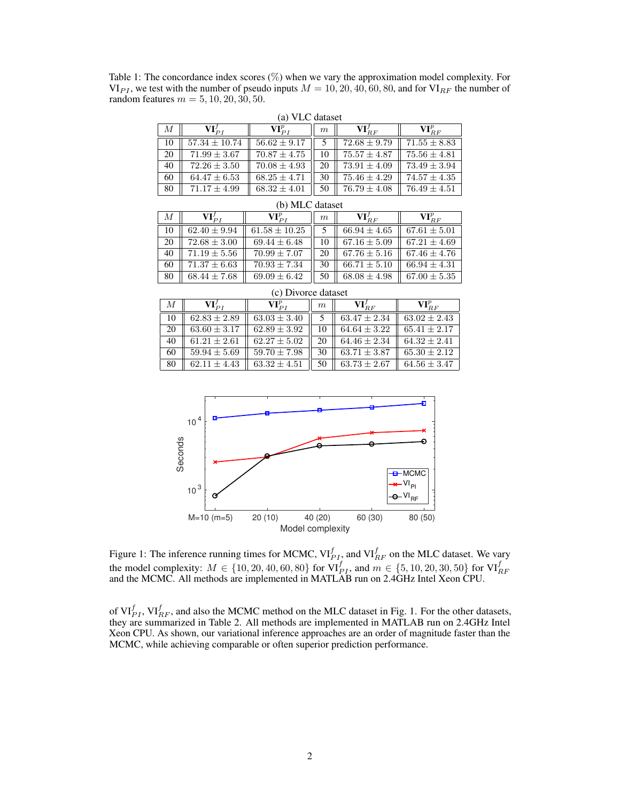Table 1: The concordance index scores (%) when we vary the approximation model complexity. For  $VI_{PI}$ , we test with the number of pseudo inputs  $M = 10, 20, 40, 60, 80$ , and for  $VI_{RF}$  the number of random features  $m = 5, 10, 20, 30, 50$ .

| (a) VLC dataset  |                             |                      |                  |                           |                      |  |
|------------------|-----------------------------|----------------------|------------------|---------------------------|----------------------|--|
| $\boldsymbol{M}$ | $\mathbf{VI}_{PI}^{\prime}$ | $\mathbf{VI}_{PI}^p$ | $\boldsymbol{m}$ | $\mathbf{VI}^\prime_{BF}$ | $\mathbf{VI}_{BF}^p$ |  |
| 10               | $57.34 \pm 10.74$           | $56.62 \pm 9.17$     |                  | $72.68 \pm 9.79$          | $71.55 \pm 8.83$     |  |
| 20               | $71.99 \pm 3.67$            | $70.87 \pm 4.75$     | 10               | $75.57 \pm 4.87$          | $75.56 + 4.81$       |  |
| 40               | $72.26 \pm 3.50$            | $70.08 \pm 4.93$     | 20               | $73.91 \pm 4.09$          | $73.49 \pm 3.94$     |  |
| 60               | $64.47 \pm 6.53$            | $68.25 \pm 4.71$     | 30               | $75.46 \pm 4.29$          | $74.57 \pm 4.35$     |  |
| 80               | $71.17 \pm 4.99$            | $68.32 \pm 4.01$     | 50               | $76.79 \pm 4.08$          | $76.49 \pm 4.51$     |  |

| (b) MLC dataset |                      |                      |    |                           |                      |
|-----------------|----------------------|----------------------|----|---------------------------|----------------------|
| М               | $\mathbf{VI}_{PI}^J$ | $\mathbf{VI}_{PI}^p$ | m  | $\mathbf{VI}^\prime_{BF}$ | $\mathbf{VI}_{BF}^p$ |
| 10              | $62.40 \pm 9.94$     | $61.58 \pm 10.25$    |    | $66.94 \pm 4.65$          | $67.61 \pm 5.01$     |
| 20              | $72.68 \pm 3.00$     | $69.44 \pm 6.48$     | 10 | $67.16 \pm 5.09$          | $67.21 \pm 4.69$     |
| 40              | $71.19 \pm 5.56$     | $70.99 \pm 7.07$     | 20 | $67.76 \pm 5.16$          | $67.46 \pm 4.76$     |
| 60              | $71.37 \pm 6.63$     | $70.93 \pm 7.34$     | 30 | $66.71 \pm 5.10$          | $66.94 \pm 4.31$     |
| 80              | $68.44 \pm 7.68$     | $69.09 \pm 6.42$     | 50 | $68.08 + 4.98$            | $67.00 \pm 5.35$     |

| М  | $\mathbf{VI}_{DI}^J$ | $\mathbf{VI}_{PI}^p$ | $\boldsymbol{m}$ | $\mathbf{VI}_{BF}^{f}$ | $\mathbf{VI}_{RF}^p$ |  |
|----|----------------------|----------------------|------------------|------------------------|----------------------|--|
| 10 | $62.83 \pm 2.89$     | $63.03 \pm 3.40$     |                  | $63.47 \pm 2.34$       | $63.02 \pm 2.43$     |  |
| 20 | $63.60 \pm 3.17$     | $62.89 \pm 3.92$     | 10               | $64.64 \pm 3.22$       | $65.41 \pm 2.17$     |  |
| 40 | $61.21 \pm 2.61$     | $62.27 \pm 5.02$     | 20               | $64.46 \pm 2.34$       | $64.32 \pm 2.41$     |  |
| 60 | $59.94 \pm 5.69$     | $59.70 \pm 7.98$     | 30               | $63.71 \pm 3.87$       | $65.30 \pm 2.12$     |  |
| 80 | $62.11 \pm 4.43$     | $63.32 \pm 4.51$     | 50               | $63.73 \pm 2.67$       | $64.56 \pm 3.47$     |  |

(c) Divorce dataset



Figure 1: The inference running times for MCMC,  $\mathrm{VI}_{PI}^f$ , and  $\mathrm{VI}_{RF}^f$  on the MLC dataset. We vary the model complexity:  $M \in \{10, 20, 40, 60, 80\}$  for  $\text{VI}_{PI}^f$ , and  $m \in \{5, 10, 20, 30, 50\}$  for  $\text{VI}_{RF}^f$  and the MCMC. All methods are implemented in MATLAB run on 2.4GHz Intel Xeon CPU.

of  $\mathrm{VI}_{PI}^f$ ,  $\mathrm{VI}_{RF}^f$ , and also the MCMC method on the MLC dataset in Fig. 1. For the other datasets, they are summarized in Table 2. All methods are implemented in MATLAB run on 2.4GHz Intel Xeon CPU. As shown, our variational inference approaches are an order of magnitude faster than the MCMC, while achieving comparable or often superior prediction performance.